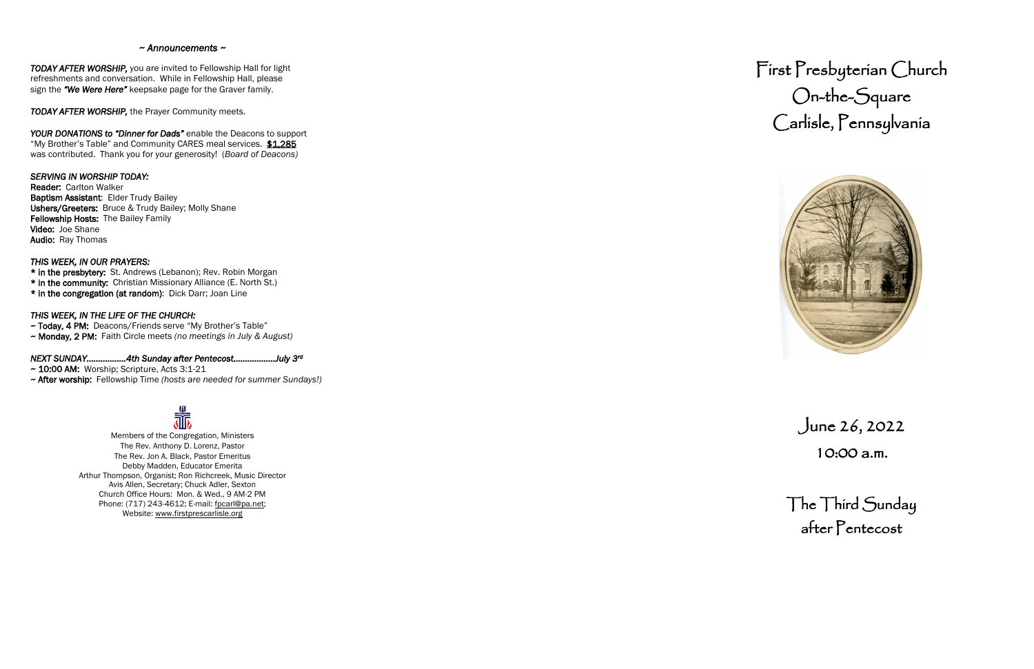#### *~ Announcements ~*

*TODAY AFTER WORSHIP,* you are invited to Fellowship Hall for light refreshments and conversation. While in Fellowship Hall, please sign the *"We Were Here"* keepsake page for the Graver family.

*TODAY AFTER WORSHIP,* the Prayer Community meets.

*YOUR DONATIONS to "Dinner for Dads"* enable the Deacons to support "My Brother's Table" and Community CARES meal services. **\$1,285** was contributed. Thank you for your generosity! (*Board of Deacons)*

#### *SERVING IN WORSHIP TODAY:*

**Reader:** Carlton Walker **Baptism Assistant**: Elder Trudy Bailey **Ushers/Greeters:** Bruce & Trudy Bailey; Molly Shane **Fellowship Hosts:** The Bailey Family **Video:** Joe Shane **Audio:** Ray Thomas

#### *THIS WEEK, IN OUR PRAYERS:*

- **\* in the presbytery:** St. Andrews (Lebanon); Rev. Robin Morgan
- **\* in the community:** Christian Missionary Alliance (E. North St.)
- **\* in the congregation (at random)**: Dick Darr; Joan Line

#### *THIS WEEK, IN THE LIFE OF THE CHURCH:*

- **~ Today, 4 PM:** Deacons/Friends serve "My Brother's Table"
- **~ Monday, 2 PM:** Faith Circle meets *(no meetings in July & August)*

#### *NEXT SUNDAY……..………4th Sunday after Pentecost………………July 3rd*

- **~ 10:00 AM:** Worship; Scripture, Acts 3:1-21
- **~ After worship:** Fellowship Time *(hosts are needed for summer Sundays!)*

# $\frac{1}{\sqrt{2}}$

Members of the Congregation, Ministers The Rev. Anthony D. Lorenz, Pastor The Rev. Jon A. Black, Pastor Emeritus Debby Madden, Educator Emerita Arthur Thompson, Organist; Ron Richcreek, Music Director Avis Allen, Secretary; Chuck Adler, Sexton Church Office Hours: Mon. & Wed., 9 AM-2 PM Phone: (717) 243-4612; E-mail: [fpcarl@pa.net](mailto:fpcarl@pa.net); Website: [www.firstprescarlisle.org](http://www.firstprescarlisle.org/)

**First Presbyterian Church On-the-Square Carlisle, Pennsylvania** 



**June 26, 2022 10:00 a.m.**

**The Third Sunday after Pentecost**